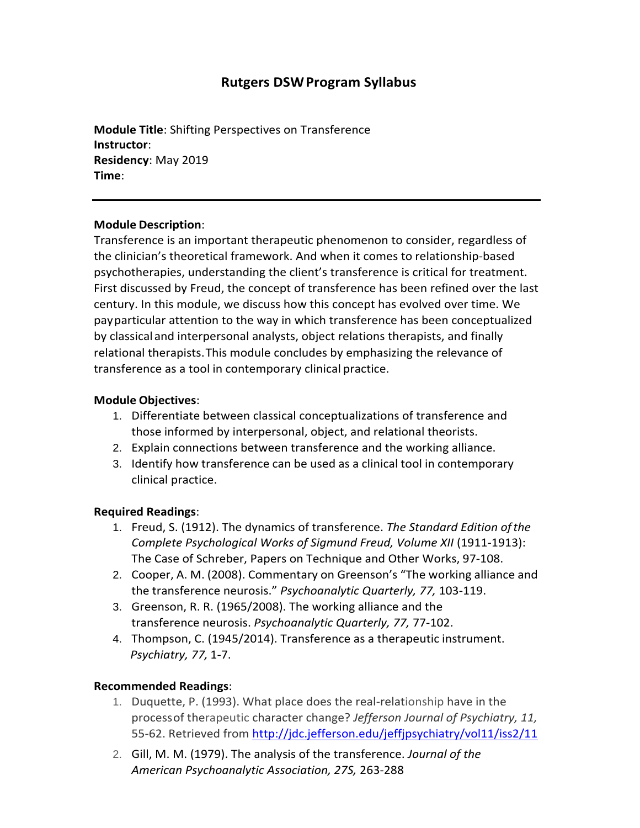# **Rutgers DSWProgram Syllabus**

**Module Title**: Shifting Perspectives on Transference **Instructor**: **Residency**: May 2019 **Time**:

#### **Module Description**:

Transference is an important therapeutic phenomenon to consider, regardless of the clinician's theoretical framework. And when it comes to relationship-based psychotherapies, understanding the client's transference is critical for treatment. First discussed by Freud, the concept of transference has been refined over the last century. In this module, we discuss how this concept has evolved over time. We payparticular attention to the way in which transference has been conceptualized by classicaland interpersonal analysts, object relations therapists, and finally relational therapists.This module concludes by emphasizing the relevance of transference as a tool in contemporary clinical practice.

#### **Module Objectives**:

- 1. Differentiate between classical conceptualizations of transference and those informed by interpersonal, object, and relational theorists.
- 2. Explain connections between transference and the working alliance.
- 3. Identify how transference can be used as a clinical tool in contemporary clinical practice.

## **Required Readings**:

- 1. Freud, S. (1912). The dynamics of transference. *The Standard Edition ofthe Complete Psychological Works of Sigmund Freud, Volume XII* (1911-1913): The Case of Schreber, Papers on Technique and Other Works, 97-108.
- 2. Cooper, A. M. (2008). Commentary on Greenson's "The working alliance and the transference neurosis." *Psychoanalytic Quarterly, 77,* 103-119.
- 3. Greenson, R. R. (1965/2008). The working alliance and the transference neurosis. *Psychoanalytic Quarterly, 77,* 77-102.
- 4. Thompson, C. (1945/2014). Transference as a therapeutic instrument. *Psychiatry, 77,* 1-7.

## **Recommended Readings**:

- 1. Duquette, P. (1993). What place does the real-relationship have in the processof therapeutic character change? *Jefferson Journal of Psychiatry, 11,* 55-62. Retrieved from <http://jdc.jefferson.edu/jeffjpsychiatry/vol11/iss2/11>
- 2. Gill, M. M. (1979). The analysis of the transference. *Journal of the American Psychoanalytic Association, 27S,* 263-288